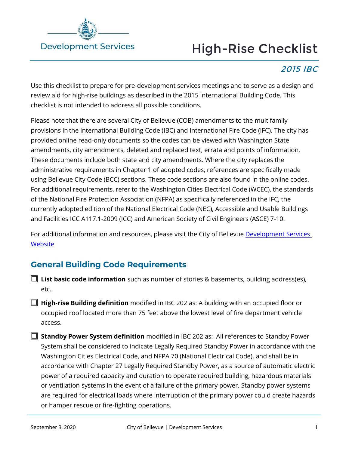

# High-Rise Checklist

# 2015 IBC

Use this checklist to prepare for pre-development services meetings and to serve as a design and review aid for high-rise buildings as described in the 2015 International Building Code. This checklist is not intended to address all possible conditions.

Please note that there are several City of Bellevue (COB) amendments to the multifamily provisions in the International Building Code (IBC) and International Fire Code (IFC). The city has provided online read-only documents so the codes can be viewed with Washington State amendments, city amendments, deleted and replaced text, errata and points of information. These documents include both state and city amendments. Where the city replaces the administrative requirements in Chapter 1 of adopted codes, references are specifically made using Bellevue City Code (BCC) sections. These code sections are also found in the online codes. For additional requirements, refer to the Washington Cities Electrical Code (WCEC), the standards of the National Fire Protection Association (NFPA) as specifically referenced in the IFC, the currently adopted edition of the National Electrical Code (NEC), Accessible and Usable Buildings and Facilities ICC A117.1-2009 (ICC) and American Society of Civil Engineers (ASCE) 7-10.

For additional information and resources, please visit the City of Bellevue Development Services **[Website](https://development.bellevuewa.gov/)** 

## **General Building Code Requirements**

- **□ List basic code information** such as number of stories & basements, building address(es), etc.
- **□ High-rise Building definition** modified in IBC 202 as: A building with an occupied floor or occupied roof located more than 75 feet above the lowest level of fire department vehicle access.
- **□ Standby Power System definition** modified in IBC 202 as: All references to Standby Power System shall be considered to indicate Legally Required Standby Power in accordance with the Washington Cities Electrical Code, and NFPA 70 (National Electrical Code), and shall be in accordance with Chapter 27 Legally Required Standby Power, as a source of automatic electric power of a required capacity and duration to operate required building, hazardous materials or ventilation systems in the event of a failure of the primary power. Standby power systems are required for electrical loads where interruption of the primary power could create hazards or hamper rescue or fire-fighting operations.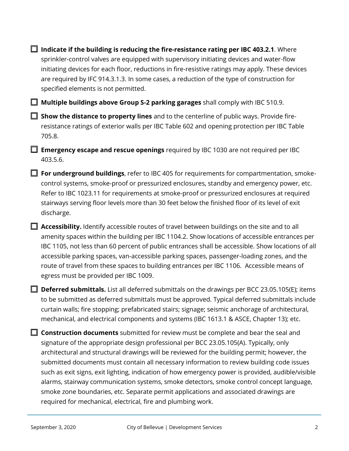**□ Indicate if the building is reducing the fire-resistance rating per IBC 403.2.1**. Where sprinkler-control valves are equipped with supervisory initiating devices and water-flow initiating devices for each floor, reductions in fire-resistive ratings may apply. These devices are required by IFC 914.3.1.3. In some cases, a reduction of the type of construction for specified elements is not permitted.

**□ Multiple buildings above Group S-2 parking garages** shall comply with IBC 510.9.

□ **Show the distance to property lines** and to the centerline of public ways. Provide fireresistance ratings of exterior walls per IBC Table 602 and opening protection per IBC Table 705.8.

□ **Emergency escape and rescue openings** required by IBC 1030 are not required per IBC 403.5.6.

□ **For underground buildings**, refer to IBC 405 for requirements for compartmentation, smokecontrol systems, smoke-proof or pressurized enclosures, standby and emergency power, etc. Refer to IBC 1023.11 for requirements at smoke-proof or pressurized enclosures at required stairways serving floor levels more than 30 feet below the finished floor of its level of exit discharge.

■ **Accessibility.** Identify accessible routes of travel between buildings on the site and to all amenity spaces within the building per IBC 1104.2. Show locations of accessible entrances per IBC 1105, not less than 60 percent of public entrances shall be accessible. Show locations of all accessible parking spaces, van-accessible parking spaces, passenger-loading zones, and the route of travel from these spaces to building entrances per IBC 1106. Accessible means of egress must be provided per IBC 1009.

**□ Deferred submittals.** List all deferred submittals on the drawings per BCC 23.05.105(E); items to be submitted as deferred submittals must be approved. Typical deferred submittals include curtain walls; fire stopping; prefabricated stairs; signage; seismic anchorage of architectural, mechanical, and electrical components and systems (IBC 1613.1 & ASCE, Chapter 13); etc.

**□ Construction documents** submitted for review must be complete and bear the seal and signature of the appropriate design professional per BCC 23.05.105(A). Typically, only architectural and structural drawings will be reviewed for the building permit; however, the submitted documents must contain all necessary information to review building code issues such as exit signs, exit lighting, indication of how emergency power is provided, audible/visible alarms, stairway communication systems, smoke detectors, smoke control concept language, smoke zone boundaries, etc. Separate permit applications and associated drawings are required for mechanical, electrical, fire and plumbing work.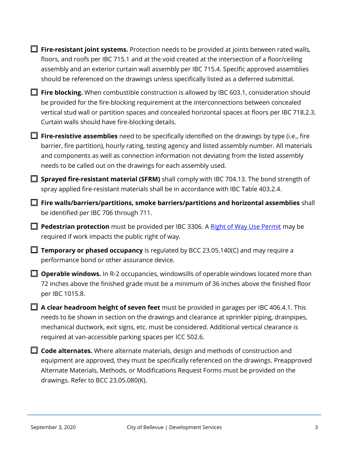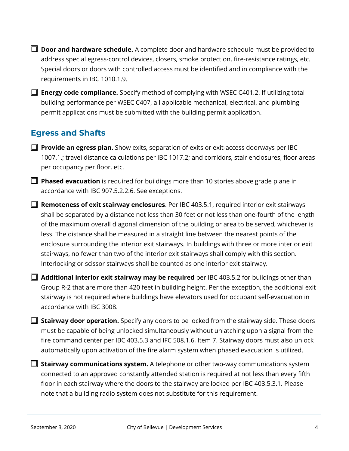- **□ Door and hardware schedule.** A complete door and hardware schedule must be provided to address special egress-control devices, closers, smoke protection, fire-resistance ratings, etc. Special doors or doors with controlled access must be identified and in compliance with the requirements in IBC 1010.1.9.
- □ **Energy code compliance.** Specify method of complying with WSEC C401.2. If utilizing total building performance per WSEC C407, all applicable mechanical, electrical, and plumbing permit applications must be submitted with the building permit application.

## **Egress and Shafts**

- <span id="page-3-0"></span>□ **Provide an egress plan.** Show exits, separation of exits or exit-access doorways per IBC 1007.1.; travel distance calculations per IBC 1017.2; and corridors, stair enclosures, floor areas per occupancy per floor, etc.
- □ **Phased evacuation** is required for buildings more than 10 stories above grade plane in accordance with IBC 907.5.2.2.6. See exceptions.
- □ **Remoteness of exit stairway enclosures**. Per IBC 403.5.1, required interior exit stairways shall be separated by a distance not less than 30 feet or not less than one-fourth of the length of the maximum overall diagonal dimension of the building or area to be served, whichever is less. The distance shall be measured in a straight line between the nearest points of the enclosure surrounding the interior exit stairways. In buildings with three or more interior exit stairways, no fewer than two of the interior exit stairways shall comply with this section. Interlocking or scissor stairways shall be counted as one interior exit stairway.
- □ **Additional interior exit stairway may be required** per IBC 403.5.2 for buildings other than Group R-2 that are more than 420 feet in building height. Per the exception, the additional exit stairway is not required where buildings have elevators used for occupant self-evacuation in accordance with IBC 3008.
- □ **Stairway door operation.** Specify any doors to be locked from the stairway side. These doors must be capable of being unlocked simultaneously without unlatching upon a signal from the fire command center per IBC 403.5.3 and IFC 508.1.6, Item 7. Stairway doors must also unlock automatically upon activation of the fire alarm system when phased evacuation is utilized.
- □ Stairway communications system. A telephone or other two-way communications system connected to an approved constantly attended station is required at not less than every fifth floor in each stairway where the doors to the stairway are locked per IBC 403.5.3.1. Please note that a building radio system does not substitute for this requirement.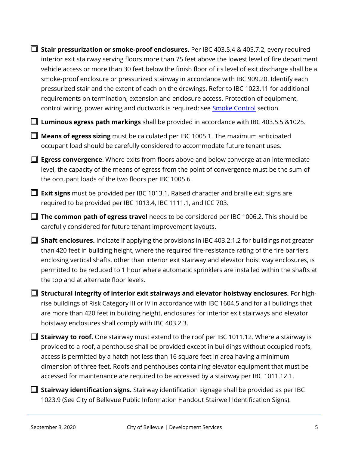□ Stair pressurization or smoke-proof enclosures. Per IBC 403.5.4 & 405.7.2, every required interior exit stairway serving floors more than 75 feet above the lowest level of fire department vehicle access or more than 30 feet below the finish floor of its level of exit discharge shall be a smoke-proof enclosure or pressurized stairway in accordance with IBC 909.20. Identify each pressurized stair and the extent of each on the drawings. Refer to IBC 1023.11 for additional requirements on termination, extension and enclosure access. Protection of equipment, control wiring, power wiring and ductwork is required; see **Smoke Control** section.

□ **Luminous egress path markings** shall be provided in accordance with IBC 403.5.5 &1025.

□ **Means of egress sizing** must be calculated per IBC 1005.1. The maximum anticipated occupant load should be carefully considered to accommodate future tenant uses.

**□ Egress convergence**. Where exits from floors above and below converge at an intermediate level, the capacity of the means of egress from the point of convergence must be the sum of the occupant loads of the two floors per IBC 1005.6.

**□ Exit signs** must be provided per IBC 1013.1. Raised character and braille exit signs are required to be provided per IBC 1013.4, IBC 1111.1, and ICC 703.

□ The common path of egress travel needs to be considered per IBC 1006.2. This should be carefully considered for future tenant improvement layouts.

■ Shaft enclosures. Indicate if applying the provisions in IBC 403.2.1.2 for buildings not greater than 420 feet in building height, where the required fire-resistance rating of the fire barriers enclosing vertical shafts, other than interior exit stairway and elevator hoist way enclosures, is permitted to be reduced to 1 hour where automatic sprinklers are installed within the shafts at the top and at alternate floor levels.

□ Structural integrity of interior exit stairways and elevator hoistway enclosures. For highrise buildings of Risk Category III or IV in accordance with IBC 1604.5 and for all buildings that are more than 420 feet in building height, enclosures for interior exit stairways and elevator hoistway enclosures shall comply with IBC 403.2.3.

■ Stairway to roof. One stairway must extend to the roof per IBC 1011.12. Where a stairway is provided to a roof, a penthouse shall be provided except in buildings without occupied roofs, access is permitted by a hatch not less than 16 square feet in area having a minimum dimension of three feet. Roofs and penthouses containing elevator equipment that must be accessed for maintenance are required to be accessed by a stairway per IBC 1011.12.1.

■ Stairway identification signs. Stairway identification signage shall be provided as per IBC 1023.9 (See City of Bellevue Public Information Handout Stairwell Identification Signs).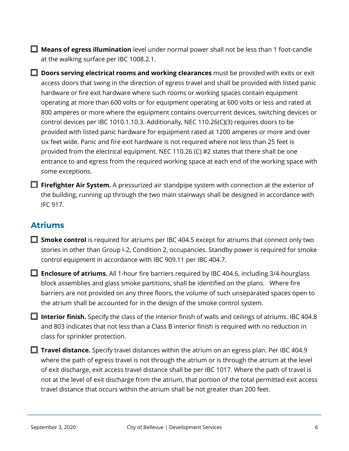□ **Means of egress illumination** level under normal power shall not be less than 1 foot-candle at the walking surface per IBC 1008.2.1.

**□ Doors serving electrical rooms and working clearances** must be provided with exits or exit access doors that swing in the direction of egress travel and shall be provided with listed panic hardware or fire exit hardware where such rooms or working spaces contain equipment operating at more than 600 volts or for equipment operating at 600 volts or less and rated at 800 amperes or more where the equipment contains overcurrent devices, switching devices or control devices per IBC 1010.1.10.3. Additionally, NEC 110.26(C)(3) requires doors to be provided with listed panic hardware for equipment rated at 1200 amperes or more and over six feet wide. Panic and fire exit hardware is not required where not less than 25 feet is provided from the electrical equipment. NEC 110.26 (C) #2 states that there shall be one entrance to and egress from the required working space at each end of the working space with some exceptions.

□ Firefighter Air System. A pressurized air standpipe system with connection at the exterior of the building, running up through the two main stairways shall be designed in accordance with IFC 917.

### <span id="page-5-0"></span>**Atriums**

□ **Smoke control** is required for atriums per IBC 404.5 except for atriums that connect only two stories in other than Group I-2, Condition 2, occupancies. Standby power is required for smoke control equipment in accordance with IBC 909.11 per IBC 404.7.

□ **Enclosure of atriums.** All 1-hour fire barriers required by IBC 404.6, including 3/4-hourglass block assemblies and glass smoke partitions, shall be identified on the plans. Where fire barriers are not provided on any three floors, the volume of such unseparated spaces open to the atrium shall be accounted for in the design of the smoke control system.

□ Interior finish. Specify the class of the interior finish of walls and ceilings of atriums. IBC 404.8 and 803 indicates that not less than a Class B interior finish is required with no reduction in class for sprinkler protection.

■ **Travel distance.** Specify travel distances within the atrium on an egress plan. Per IBC 404.9 where the path of egress travel is not through the atrium or is through the atrium at the level of exit discharge, exit access travel distance shall be per IBC 1017. Where the path of travel is not at the level of exit discharge from the atrium, that portion of the total permitted exit access travel distance that occurs within the atrium shall be not greater than 200 feet.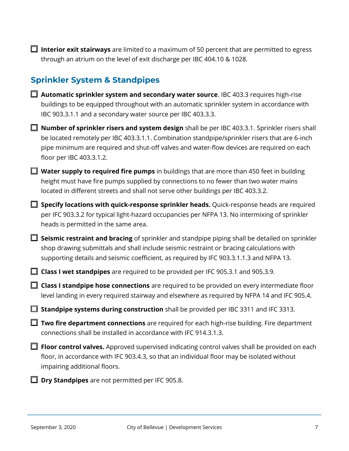□ Interior exit stairways are limited to a maximum of 50 percent that are permitted to egress through an atrium on the level of exit discharge per IBC 404.10 & 1028.

# **Sprinkler System & Standpipes**

- □ **Automatic sprinkler system and secondary water source**. IBC 403.3 requires high-rise buildings to be equipped throughout with an automatic sprinkler system in accordance with IBC 903.3.1.1 and a secondary water source per IBC 403.3.3.
- **Number of sprinkler risers and system design** shall be per IBC 403.3.1. Sprinkler risers shall be located remotely per IBC 403.3.1.1. Combination standpipe/sprinkler risers that are 6-inch pipe minimum are required and shut-off valves and water-flow devices are required on each floor per IBC 403.3.1.2.
- **Water supply to required fire pumps** in buildings that are more than 450 feet in building height must have fire pumps supplied by connections to no fewer than two water mains located in different streets and shall not serve other buildings per IBC 403.3.2.
- □ **Specify locations with quick-response sprinkler heads.** Quick-response heads are required per IFC 903.3.2 for typical light-hazard occupancies per NFPA 13. No intermixing of sprinkler heads is permitted in the same area.
- □ **Seismic restraint and bracing** of sprinkler and standpipe piping shall be detailed on sprinkler shop drawing submittals and shall include seismic restraint or bracing calculations with supporting details and seismic coefficient, as required by IFC 903.3.1.1.3 and NFPA 13.
- □ **Class I wet standpipes** are required to be provided per IFC 905.3.1 and 905.3.9.
- □ **Class I standpipe hose connections** are required to be provided on every intermediate floor level landing in every required stairway and elsewhere as required by NFPA 14 and IFC 905.4.
- **□ Standpipe systems during construction** shall be provided per IBC 3311 and IFC 3313.
- □ **Two fire department connections** are required for each high-rise building. Fire department connections shall be installed in accordance with IFC 914.3.1.3.
- □ **Floor control valves.** Approved supervised indicating control valves shall be provided on each floor, in accordance with IFC 903.4.3, so that an individual floor may be isolated without impairing additional floors.
	- □ **Dry Standpipes** are not permitted per IFC 905.8.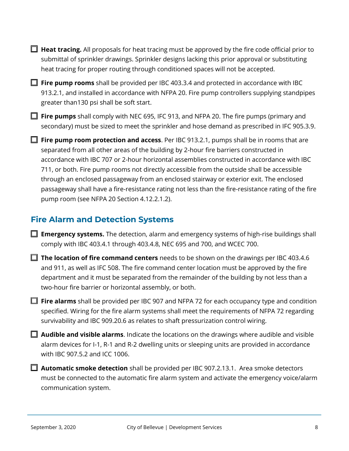□ Heat tracing. All proposals for heat tracing must be approved by the fire code official prior to submittal of sprinkler drawings. Sprinkler designs lacking this prior approval or substituting heat tracing for proper routing through conditioned spaces will not be accepted.

**□ Fire pump rooms** shall be provided per IBC 403.3.4 and protected in accordance with IBC 913.2.1, and installed in accordance with NFPA 20. Fire pump controllers supplying standpipes greater than130 psi shall be soft start.

□ **Fire pumps** shall comply with NEC 695, IFC 913, and NFPA 20. The fire pumps (primary and secondary) must be sized to meet the sprinkler and hose demand as prescribed in IFC 905.3.9.

□ Fire pump room protection and access. Per IBC 913.2.1, pumps shall be in rooms that are separated from all other areas of the building by 2-hour fire barriers constructed in accordance with IBC 707 or 2-hour horizontal assemblies constructed in accordance with IBC 711, or both. Fire pump rooms not directly accessible from the outside shall be accessible through an enclosed passageway from an enclosed stairway or exterior exit. The enclosed passageway shall have a fire-resistance rating not less than the fire-resistance rating of the fire pump room (see NFPA 20 Section 4.12.2.1.2).

#### **Fire Alarm and Detection Systems**

□ **Emergency systems.** The detection, alarm and emergency systems of high-rise buildings shall comply with IBC 403.4.1 through 403.4.8, NEC 695 and 700, and WCEC 700.

□ The location of fire command centers needs to be shown on the drawings per IBC 403.4.6 and 911, as well as IFC 508. The fire command center location must be approved by the fire department and it must be separated from the remainder of the building by not less than a two-hour fire barrier or horizontal assembly, or both.

□ **Fire alarms** shall be provided per IBC 907 and NFPA 72 for each occupancy type and condition specified. Wiring for the fire alarm systems shall meet the requirements of NFPA 72 regarding survivability and IBC 909.20.6 as relates to shaft pressurization control wiring.

**□ Audible and visible alarms**. Indicate the locations on the drawings where audible and visible alarm devices for I-1, R-1 and R-2 dwelling units or sleeping units are provided in accordance with IBC 907.5.2 and ICC 1006.

□ **Automatic smoke detection** shall be provided per IBC 907.2.13.1. Area smoke detectors must be connected to the automatic fire alarm system and activate the emergency voice/alarm communication system.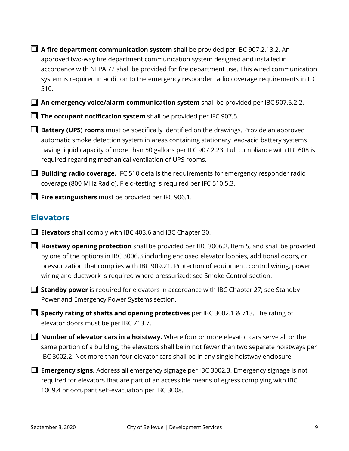□ **A fire department communication system** shall be provided per IBC 907.2.13.2. An approved two-way fire department communication system designed and installed in accordance with NFPA 72 shall be provided for fire department use. This wired communication system is required in addition to the emergency responder radio coverage requirements in IFC 510.

□ An emergency voice/alarm communication system shall be provided per IBC 907.5.2.2.

□ The occupant notification system shall be provided per IFC 907.5.

□ **Battery (UPS) rooms** must be specifically identified on the drawings. Provide an approved automatic smoke detection system in areas containing stationary lead-acid battery systems having liquid capacity of more than 50 gallons per IFC 907.2.23. Full compliance with IFC 608 is required regarding mechanical ventilation of UPS rooms.

**□ Building radio coverage.** IFC 510 details the requirements for emergency responder radio coverage (800 MHz Radio). Field-testing is required per IFC 510.5.3.

□ **Fire extinguishers** must be provided per IFC 906.1.

#### <span id="page-8-0"></span>**Elevators**

- □ **Elevators** shall comply with IBC 403.6 and IBC Chapter 30.
- □ Hoistway opening protection shall be provided per IBC 3006.2, Item 5, and shall be provided by one of the options in IBC 3006.3 including enclosed elevator lobbies, additional doors, or pressurization that complies with IBC 909.21. Protection of equipment, control wiring, power wiring and ductwork is required where pressurized; see Smoke Control section.

**□ Standby power** is required for elevators in accordance with IBC Chapter 27; see Standby Power and Emergency Power Systems section.

□ **Specify rating of shafts and opening protectives** per IBC 3002.1 & 713. The rating of elevator doors must be per IBC 713.7.

■ **Number of elevator cars in a hoistway.** Where four or more elevator cars serve all or the same portion of a building, the elevators shall be in not fewer than two separate hoistways per IBC 3002.2. Not more than four elevator cars shall be in any single hoistway enclosure.

□ **Emergency signs.** Address all emergency signage per IBC 3002.3. Emergency signage is not required for elevators that are part of an accessible means of egress complying with IBC 1009.4 or occupant self-evacuation per IBC 3008.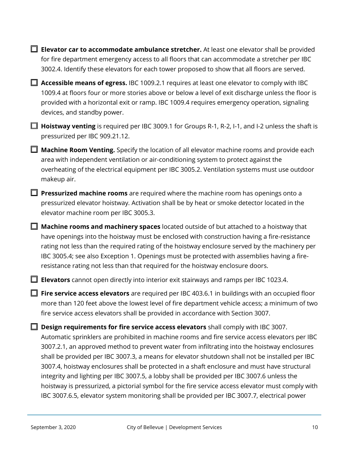□ **Elevator car to accommodate ambulance stretcher.** At least one elevator shall be provided for fire department emergency access to all floors that can accommodate a stretcher per IBC 3002.4. Identify these elevators for each tower proposed to show that all floors are served.

□ **Accessible means of egress.** IBC 1009.2.1 requires at least one elevator to comply with IBC 1009.4 at floors four or more stories above or below a level of exit discharge unless the floor is provided with a horizontal exit or ramp. IBC 1009.4 requires emergency operation, signaling devices, and standby power.

□ **Hoistway venting** is required per IBC 3009.1 for Groups R-1, R-2, I-1, and I-2 unless the shaft is pressurized per IBC 909.21.12.

□ **Machine Room Venting.** Specify the location of all elevator machine rooms and provide each area with independent ventilation or air-conditioning system to protect against the overheating of the electrical equipment per IBC 3005.2. Ventilation systems must use outdoor makeup air.

□ **Pressurized machine rooms** are required where the machine room has openings onto a pressurized elevator hoistway. Activation shall be by heat or smoke detector located in the elevator machine room per IBC 3005.3.

□ **Machine rooms and machinery spaces** located outside of but attached to a hoistway that have openings into the hoistway must be enclosed with construction having a fire-resistance rating not less than the required rating of the hoistway enclosure served by the machinery per IBC 3005.4; see also Exception 1. Openings must be protected with assemblies having a fireresistance rating not less than that required for the hoistway enclosure doors.

□ **Elevators** cannot open directly into interior exit stairways and ramps per IBC 1023.4.

□ **Fire service access elevators** are required per IBC 403.6.1 in buildings with an occupied floor more than 120 feet above the lowest level of fire department vehicle access; a minimum of two fire service access elevators shall be provided in accordance with Section 3007.

□ **Design requirements for fire service access elevators** shall comply with IBC 3007. Automatic sprinklers are prohibited in machine rooms and fire service access elevators per IBC 3007.2.1, an approved method to prevent water from infiltrating into the hoistway enclosures shall be provided per IBC 3007.3, a means for elevator shutdown shall not be installed per IBC 3007.4, hoistway enclosures shall be protected in a shaft enclosure and must have structural integrity and lighting per IBC 3007.5, a lobby shall be provided per IBC 3007.6 unless the hoistway is pressurized, a pictorial symbol for the fire service access elevator must comply with IBC 3007.6.5, elevator system monitoring shall be provided per IBC 3007.7, electrical power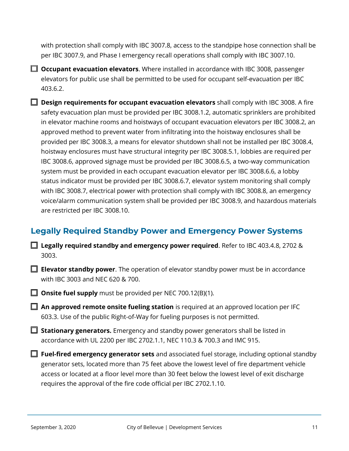with protection shall comply with IBC 3007.8, access to the standpipe hose connection shall be per IBC 3007.9, and Phase I emergency recall operations shall comply with IBC 3007.10.

□ **Occupant evacuation elevators**. Where installed in accordance with IBC 3008, passenger elevators for public use shall be permitted to be used for occupant self-evacuation per IBC 403.6.2.

□ **Design requirements for occupant evacuation elevators** shall comply with IBC 3008. A fire safety evacuation plan must be provided per IBC 3008.1.2, automatic sprinklers are prohibited in elevator machine rooms and hoistways of occupant evacuation elevators per IBC 3008.2, an approved method to prevent water from infiltrating into the hoistway enclosures shall be provided per IBC 3008.3, a means for elevator shutdown shall not be installed per IBC 3008.4, hoistway enclosures must have structural integrity per IBC 3008.5.1, lobbies are required per IBC 3008.6, approved signage must be provided per IBC 3008.6.5, a two-way communication system must be provided in each occupant evacuation elevator per IBC 3008.6.6, a lobby status indicator must be provided per IBC 3008.6.7, elevator system monitoring shall comply with IBC 3008.7, electrical power with protection shall comply with IBC 3008.8, an emergency voice/alarm communication system shall be provided per IBC 3008.9, and hazardous materials are restricted per IBC 3008.10.

### **Legally Required Standby Power and Emergency Power Systems**

■ Legally required standby and emergency power required. Refer to IBC 403.4.8, 2702 & 3003.

□ **Elevator standby power**. The operation of elevator standby power must be in accordance with IBC 3003 and NEC 620 & 700.

□ **Onsite fuel supply** must be provided per NEC 700.12(B)(1).

□ An approved remote onsite fueling station is required at an approved location per IFC 603.3. Use of the public Right-of-Way for fueling purposes is not permitted.

□ **Stationary generators.** Emergency and standby power generators shall be listed in accordance with UL 2200 per IBC 2702.1.1, NEC 110.3 & 700.3 and IMC 915.

□ **Fuel-fired emergency generator sets** and associated fuel storage, including optional standby generator sets, located more than 75 feet above the lowest level of fire department vehicle access or located at a floor level more than 30 feet below the lowest level of exit discharge requires the approval of the fire code official per IBC 2702.1.10.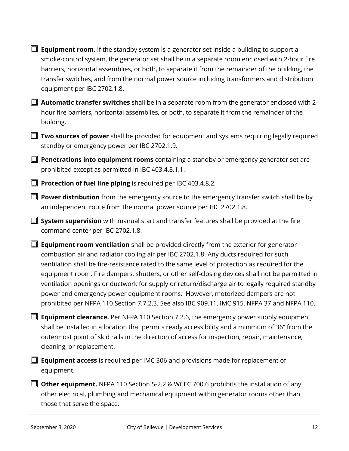| <b>Equipment room.</b> If the standby system is a generator set inside a building to support a<br>smoke-control system, the generator set shall be in a separate room enclosed with 2-hour fire<br>barriers, horizontal assemblies, or both, to separate it from the remainder of the building, the<br>transfer switches, and from the normal power source including transformers and distribution<br>equipment per IBC 2702.1.8.                                                                                                                                                                                                                                              |
|--------------------------------------------------------------------------------------------------------------------------------------------------------------------------------------------------------------------------------------------------------------------------------------------------------------------------------------------------------------------------------------------------------------------------------------------------------------------------------------------------------------------------------------------------------------------------------------------------------------------------------------------------------------------------------|
| Automatic transfer switches shall be in a separate room from the generator enclosed with 2-<br>hour fire barriers, horizontal assemblies, or both, to separate it from the remainder of the<br>building.                                                                                                                                                                                                                                                                                                                                                                                                                                                                       |
| Two sources of power shall be provided for equipment and systems requiring legally required<br>standby or emergency power per IBC 2702.1.9.                                                                                                                                                                                                                                                                                                                                                                                                                                                                                                                                    |
| $\Box$ Penetrations into equipment rooms containing a standby or emergency generator set are<br>prohibited except as permitted in IBC 403.4.8.1.1.                                                                                                                                                                                                                                                                                                                                                                                                                                                                                                                             |
| Protection of fuel line piping is required per IBC 403.4.8.2.                                                                                                                                                                                                                                                                                                                                                                                                                                                                                                                                                                                                                  |
| Power distribution from the emergency source to the emergency transfer switch shall be by<br>an independent route from the normal power source per IBC 2702.1.8.                                                                                                                                                                                                                                                                                                                                                                                                                                                                                                               |
| System supervision with manual start and transfer features shall be provided at the fire<br>command center per IBC 2702.1.8.                                                                                                                                                                                                                                                                                                                                                                                                                                                                                                                                                   |
| <b>Equipment room ventilation</b> shall be provided directly from the exterior for generator<br>combustion air and radiator cooling air per IBC 2702.1.8. Any ducts required for such<br>ventilation shall be fire-resistance rated to the same level of protection as required for the<br>equipment room. Fire dampers, shutters, or other self-closing devices shall not be permitted in<br>ventilation openings or ductwork for supply or return/discharge air to legally required standby<br>power and emergency power equipment rooms. However, motorized dampers are not<br>prohibited per NFPA 110 Section 7.7.2.3. See also IBC 909.11, IMC 915, NFPA 37 and NFPA 110. |
| <b>Equipment clearance.</b> Per NFPA 110 Section 7.2.6, the emergency power supply equipment<br>shall be installed in a location that permits ready accessibility and a minimum of 36" from the<br>outermost point of skid rails in the direction of access for inspection, repair, maintenance,<br>cleaning, or replacement.                                                                                                                                                                                                                                                                                                                                                  |
| <b>Equipment access</b> is required per IMC 306 and provisions made for replacement of<br>equipment.                                                                                                                                                                                                                                                                                                                                                                                                                                                                                                                                                                           |
| <b>Other equipment.</b> NFPA 110 Section 5-2.2 & WCEC 700.6 prohibits the installation of any<br>other electrical, plumbing and mechanical equipment within generator rooms other than<br>those that serve the space.                                                                                                                                                                                                                                                                                                                                                                                                                                                          |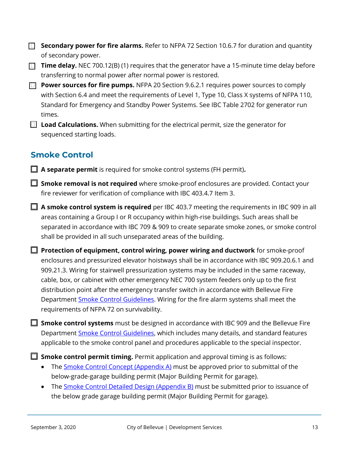- **Secondary power for fire alarms.** Refer to NFPA 72 Section 10.6.7 for duration and quantity of secondary power.
- **Time delay.** NEC 700.12(B) (1) requires that the generator have a 15-minute time delay before transferring to normal power after normal power is restored.
- **Power sources for fire pumps.** NFPA 20 Section 9.6.2.1 requires power sources to comply with Section 6.4 and meet the requirements of Level 1, Type 10, Class X systems of NFPA 110, Standard for Emergency and Standby Power Systems. See IBC Table 2702 for generator run times.
- **Load Calculations.** When submitting for the electrical permit, size the generator for sequenced starting loads.

## **Smoke Control**

<span id="page-12-0"></span>□ **A separate permit** is required for smoke control systems (FH permit)**.**

- □ **Smoke removal is not required** where smoke-proof enclosures are provided. Contact your fire reviewer for verification of compliance with IBC 403.4.7 Item 3.
- □ **A smoke control system is required** per IBC 403.7 meeting the requirements in IBC 909 in all areas containing a Group I or R occupancy within high-rise buildings. Such areas shall be separated in accordance with IBC 709 & 909 to create separate smoke zones, or smoke control shall be provided in all such unseparated areas of the building.
- □ **Protection of equipment, control wiring, power wiring and ductwork** for smoke-proof enclosures and pressurized elevator hoistways shall be in accordance with IBC 909.20.6.1 and 909.21.3. Wiring for stairwell pressurization systems may be included in the same raceway, cable, box, or cabinet with other emergency NEC 700 system feeders only up to the first distribution point after the emergency transfer switch in accordance with Bellevue Fire Department **Smoke Control Guidelines**. Wiring for the fire alarm systems shall meet the requirements of NFPA 72 on survivability.

□ **Smoke control systems** must be designed in accordance with IBC 909 and the Bellevue Fire Department [Smoke Control Guidelines,](https://fire.bellevuewa.gov/UserFiles/Servers/Server_4779004/File/pdf/Fire/SMOKE%20CONTROL%2002.14.2018.pdf) which includes many details, and standard features applicable to the smoke control panel and procedures applicable to the special inspector.

**□ Smoke control permit timing.** Permit application and approval timing is as follows:

- The [Smoke Control Concept](https://fire.bellevuewa.gov/UserFiles/Servers/Server_4779004/File/pdf/Fire/Smoke%20Control%20Appendix%20A%2002.14.2018.pdf) (Appendix A) must be approved prior to submittal of the below-grade-garage building permit (Major Building Permit for garage).
- The [Smoke Control Detailed Design](https://fire.bellevuewa.gov/UserFiles/Servers/Server_4779004/File/pdf/Fire/Smoke%20Control%20Appendix%20B%2002.14.2018.pdf) (Appendix B) must be submitted prior to issuance of the below grade garage building permit (Major Building Permit for garage).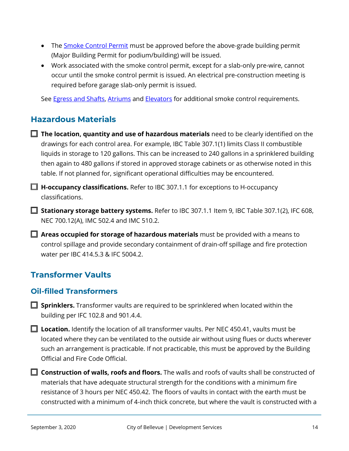- The **Smoke Control Permit** must be approved before the above-grade building permit (Major Building Permit for podium/building) will be issued.
- Work associated with the smoke control permit, except for a slab-only pre-wire, cannot occur until the smoke control permit is issued. An electrical pre-construction meeting is required before garage slab-only permit is issued.

See **Egress and Shafts, [Atriums](#page-5-0) and [Elevators](#page-8-0)** for additional smoke control requirements.

## **Hazardous Materials**

- □ The location, quantity and use of hazardous materials need to be clearly identified on the drawings for each control area. For example, IBC Table 307.1(1) limits Class II combustible liquids in storage to 120 gallons. This can be increased to 240 gallons in a sprinklered building then again to 480 gallons if stored in approved storage cabinets or as otherwise noted in this table. If not planned for, significant operational difficulties may be encountered.
- □ **H-occupancy classifications.** Refer to IBC 307.1.1 for exceptions to H-occupancy classifications.
- □ **Stationary storage battery systems.** Refer to IBC 307.1.1 Item 9, IBC Table 307.1(2), IFC 608, NEC 700.12(A), IMC 502.4 and IMC 510.2.
- □ **Areas occupied for storage of hazardous materials** must be provided with a means to control spillage and provide secondary containment of drain-off spillage and fire protection water per IBC 414.5.3 & IFC 5004.2.

# **Transformer Vaults**

#### **Oil-filled Transformers**

- □ **Sprinklers.** Transformer vaults are required to be sprinklered when located within the building per IFC 102.8 and 901.4.4.
- □ Location. Identify the location of all transformer vaults. Per NEC 450.41, vaults must be located where they can be ventilated to the outside air without using flues or ducts wherever such an arrangement is practicable. If not practicable, this must be approved by the Building Official and Fire Code Official.
- □ **Construction of walls, roofs and floors.** The walls and roofs of vaults shall be constructed of materials that have adequate structural strength for the conditions with a minimum fire resistance of 3 hours per NEC 450.42. The floors of vaults in contact with the earth must be constructed with a minimum of 4-inch thick concrete, but where the vault is constructed with a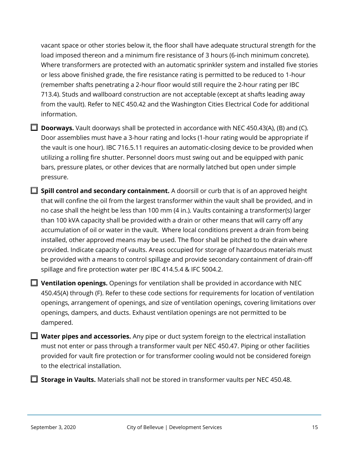vacant space or other stories below it, the floor shall have adequate structural strength for the load imposed thereon and a minimum fire resistance of 3 hours (6-inch minimum concrete). Where transformers are protected with an automatic sprinkler system and installed five stories or less above finished grade, the fire resistance rating is permitted to be reduced to 1-hour (remember shafts penetrating a 2-hour floor would still require the 2-hour rating per IBC 713.4). Studs and wallboard construction are not acceptable (except at shafts leading away from the vault). Refer to NEC 450.42 and the Washington Cities Electrical Code for additional information.

- □ **Doorways.** Vault doorways shall be protected in accordance with NEC 450.43(A), (B) and (C). Door assemblies must have a 3-hour rating and locks (1-hour rating would be appropriate if the vault is one hour). IBC 716.5.11 requires an automatic-closing device to be provided when utilizing a rolling fire shutter. Personnel doors must swing out and be equipped with panic bars, pressure plates, or other devices that are normally latched but open under simple pressure.
- □ **Spill control and secondary containment.** A doorsill or curb that is of an approved height that will confine the oil from the largest transformer within the vault shall be provided, and in no case shall the height be less than 100 mm (4 in.). Vaults containing a transformer(s) larger than 100 kVA capacity shall be provided with a drain or other means that will carry off any accumulation of oil or water in the vault. Where local conditions prevent a drain from being installed, other approved means may be used. The floor shall be pitched to the drain where provided. Indicate capacity of vaults. Areas occupied for storage of hazardous materials must be provided with a means to control spillage and provide secondary containment of drain-off spillage and fire protection water per IBC 414.5.4 & IFC 5004.2.
- □ **Ventilation openings.** Openings for ventilation shall be provided in accordance with NEC 450.45(A) through (F). Refer to these code sections for requirements for location of ventilation openings, arrangement of openings, and size of ventilation openings, covering limitations over openings, dampers, and ducts. Exhaust ventilation openings are not permitted to be dampered.
- **Water pipes and accessories.** Any pipe or duct system foreign to the electrical installation must not enter or pass through a transformer vault per NEC 450.47. Piping or other facilities provided for vault fire protection or for transformer cooling would not be considered foreign to the electrical installation.

□ **Storage in Vaults.** Materials shall not be stored in transformer vaults per NEC 450.48.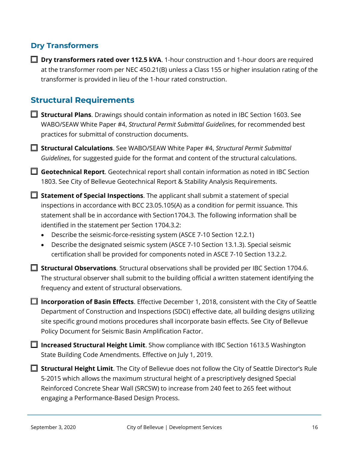#### **Dry Transformers**

□ **Dry transformers rated over 112.5 kVA**. 1-hour construction and 1-hour doors are required at the transformer room per NEC 450.21(B) unless a Class 155 or higher insulation rating of the transformer is provided in lieu of the 1-hour rated construction.

#### **Structural Requirements**

- **□ Structural Plans**. Drawings should contain information as noted in IBC Section 1603. See WABO/SEAW White Paper #4, *[Structural Permit Submittal Guidelines](https://www.wabo.org/assets/SEAWPapers/wabo-seaw%20wp-4%20final%202012.pdf)*, for recommended best practices for submittal of construction documents.
- □ **Structural Calculations**. See WABO/SEAW White Paper #4, *[Structural Permit Submittal](https://www.wabo.org/assets/SEAWPapers/wabo-seaw%20wp-4%20final%202012.pdf)  Guidelines*, [for suggested guide for the format and content of the structural calculations.](https://www.wabo.org/assets/SEAWPapers/wabo-seaw%20wp-4%20final%202012.pdf)
- **□ Geotechnical Report**. Geotechnical report shall contain information as noted in IBC Section [1803. See](https://www.wabo.org/assets/SEAWPapers/wabo-seaw%20wp-4%20final%202012.pdf) City of Bellevue Geotechnical Report & Stability Analysis Requirements.
- □ **Statement of Special Inspections**. The applicant shall submit a statement of special inspections in accordance with BCC 23.05.105(A) as a condition for permit issuance. This statement shall be in accordance with Section1704.3. The following information shall be identified in the statement per Section 1704.3.2:
	- Describe the seismic-force-resisting system (ASCE 7-10 Section 12.2.1)
	- Describe the designated seismic system (ASCE 7-10 Section 13.1.3). Special seismic certification shall be provided for components noted in ASCE 7-10 Section 13.2.2.
- □ **Structural Observations**. Structural observations shall be provided per IBC Section 1704.6. The structural observer shall submit to the building official a written statement identifying the frequency and extent of structural observations.
- □ Incorporation of Basin Effects. Effective December 1, 2018, consistent with the City of Seattle Department of Construction and Inspections (SDCI) effective date, all building designs utilizing site specific ground motions procedures shall incorporate basin effects. See [City of Bellevue](https://development.bellevuewa.gov/UserFiles/Servers/Server_4779004/File/pdf/Development%20Services/codes-Seismic-Basin-Amplifier-Factor.pdf)  [Policy Document for Seismic Basin Amplification Factor.](https://development.bellevuewa.gov/UserFiles/Servers/Server_4779004/File/pdf/Development%20Services/codes-Seismic-Basin-Amplifier-Factor.pdf)
- □ **Increased Structural Height Limit**. Show compliance with IBC Section 1613.5 Washington State Building Code Amendments. Effective on July 1, 2019.
- **Structural Height Limit**. The City of Bellevue does not follow the City of Seattle Director's Rule 5-2015 which allows the maximum structural height of a prescriptively designed Special Reinforced Concrete Shear Wall (SRCSW) to increase from 240 feet to 265 feet without engaging a Performance-Based Design Process.